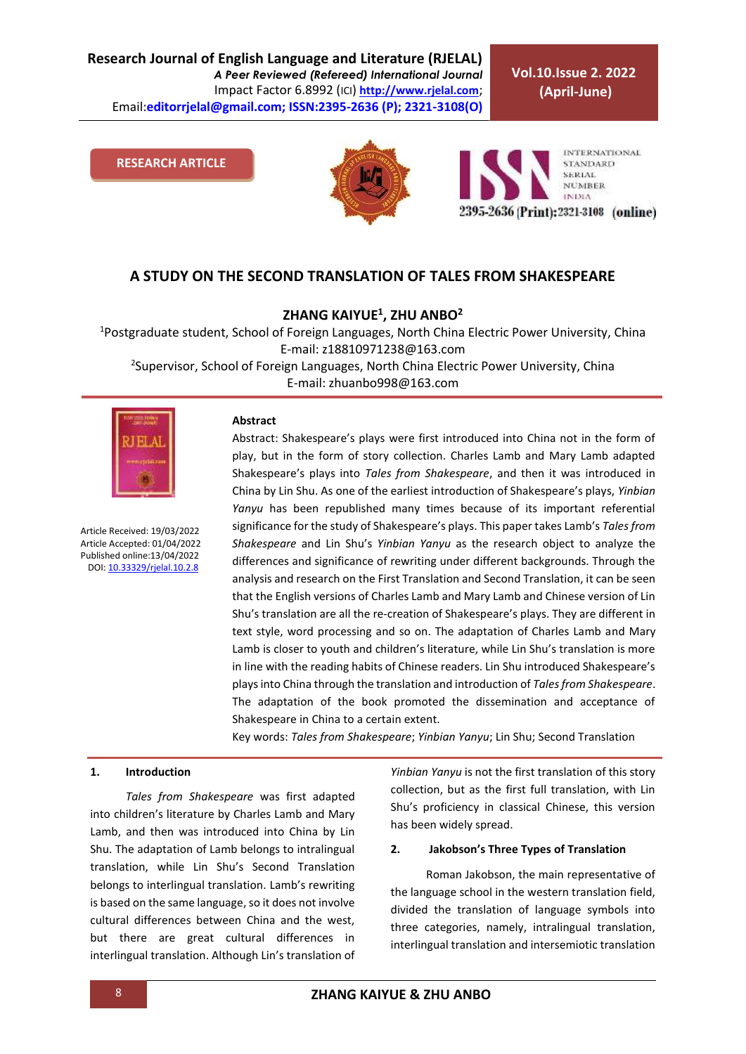**Vol.10.Issue 2. 2022 (April-June)**

**RESEARCH ARTICLE**





## **A STUDY ON THE SECOND TRANSLATION OF TALES FROM SHAKESPEARE**

**ZHANG KAIYUE<sup>1</sup> , ZHU ANBO<sup>2</sup>**

<sup>1</sup>Postgraduate student, School of Foreign Languages, North China Electric Power University, China E-mail: z18810971238@163.com <sup>2</sup>Supervisor, School of Foreign Languages, North China Electric Power University, China

E-mail: zhuanbo998@163.com



Article Received: 19/03/2022 Article Accepted: 01/04/2022 Published online:13/04/2022 DOI[: 10.33329/rjelal.10.2.8](http://www.rjelal.com/)

#### **Abstract**

Abstract: Shakespeare's plays were first introduced into China not in the form of play, but in the form of story collection. Charles Lamb and Mary Lamb adapted Shakespeare's plays into *Tales from Shakespeare*, and then it was introduced in China by Lin Shu. As one of the earliest introduction of Shakespeare's plays, *Yinbian Yanyu* has been republished many times because of its important referential significance for the study of Shakespeare's plays. This paper takes Lamb's *Tales from Shakespeare* and Lin Shu's *Yinbian Yanyu* as the research object to analyze the differences and significance of rewriting under different backgrounds. Through the analysis and research on the First Translation and Second Translation, it can be seen that the English versions of Charles Lamb and Mary Lamb and Chinese version of Lin Shu's translation are all the re-creation of Shakespeare's plays. They are different in text style, word processing and so on. The adaptation of Charles Lamb and Mary Lamb is closer to youth and children's literature, while Lin Shu's translation is more in line with the reading habits of Chinese readers. Lin Shu introduced Shakespeare's plays into China through the translation and introduction of *Tales from Shakespeare*. The adaptation of the book promoted the dissemination and acceptance of Shakespeare in China to a certain extent.

Key words: *Tales from Shakespeare*; *Yinbian Yanyu*; Lin Shu; Second Translation

#### **1. Introduction**

*Tales from Shakespeare* was first adapted into children's literature by Charles Lamb and Mary Lamb, and then was introduced into China by Lin Shu. The adaptation of Lamb belongs to intralingual translation, while Lin Shu's Second Translation belongs to interlingual translation. Lamb's rewriting is based on the same language, so it does not involve cultural differences between China and the west, but there are great cultural differences in interlingual translation. Although Lin's translation of *Yinbian Yanyu* is not the first translation of this story collection, but as the first full translation, with Lin Shu's proficiency in classical Chinese, this version has been widely spread.

#### **2. Jakobson's Three Types of Translation**

Roman Jakobson, the main representative of the language school in the western translation field, divided the translation of language symbols into three categories, namely, intralingual translation, interlingual translation and intersemiotic translation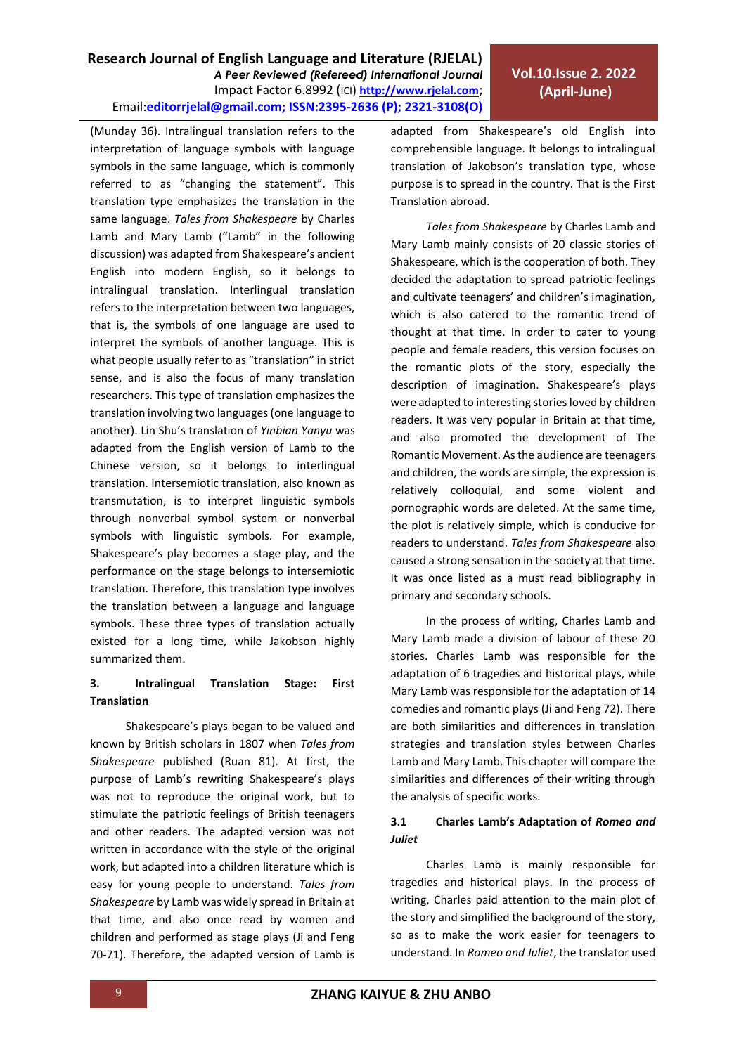(Munday 36). Intralingual translation refers to the interpretation of language symbols with language symbols in the same language, which is commonly referred to as "changing the statement". This translation type emphasizes the translation in the same language. *Tales from Shakespeare* by Charles Lamb and Mary Lamb ("Lamb" in the following discussion) was adapted from Shakespeare's ancient English into modern English, so it belongs to intralingual translation. Interlingual translation refers to the interpretation between two languages, that is, the symbols of one language are used to interpret the symbols of another language. This is what people usually refer to as "translation" in strict sense, and is also the focus of many translation researchers. This type of translation emphasizes the translation involving two languages (one language to another). Lin Shu's translation of *Yinbian Yanyu* was adapted from the English version of Lamb to the Chinese version, so it belongs to interlingual translation. Intersemiotic translation, also known as transmutation, is to interpret linguistic symbols through nonverbal symbol system or nonverbal symbols with linguistic symbols. For example, Shakespeare's play becomes a stage play, and the performance on the stage belongs to intersemiotic translation. Therefore, this translation type involves the translation between a language and language symbols. These three types of translation actually existed for a long time, while Jakobson highly summarized them.

## **3. Intralingual Translation Stage: First Translation**

Shakespeare's plays began to be valued and known by British scholars in 1807 when *Tales from Shakespeare* published (Ruan 81). At first, the purpose of Lamb's rewriting Shakespeare's plays was not to reproduce the original work, but to stimulate the patriotic feelings of British teenagers and other readers. The adapted version was not written in accordance with the style of the original work, but adapted into a children literature which is easy for young people to understand. *Tales from Shakespeare* by Lamb was widely spread in Britain at that time, and also once read by women and children and performed as stage plays (Ji and Feng 70-71). Therefore, the adapted version of Lamb is adapted from Shakespeare's old English into comprehensible language. It belongs to intralingual translation of Jakobson's translation type, whose purpose is to spread in the country. That is the First Translation abroad.

*Tales from Shakespeare* by Charles Lamb and Mary Lamb mainly consists of 20 classic stories of Shakespeare, which is the cooperation of both. They decided the adaptation to spread patriotic feelings and cultivate teenagers' and children's imagination, which is also catered to the romantic trend of thought at that time. In order to cater to young people and female readers, this version focuses on the romantic plots of the story, especially the description of imagination. Shakespeare's plays were adapted to interesting stories loved by children readers. It was very popular in Britain at that time, and also promoted the development of The Romantic Movement. As the audience are teenagers and children, the words are simple, the expression is relatively colloquial, and some violent and pornographic words are deleted. At the same time, the plot is relatively simple, which is conducive for readers to understand. *Tales from Shakespeare* also caused a strong sensation in the society at that time. It was once listed as a must read bibliography in primary and secondary schools.

In the process of writing, Charles Lamb and Mary Lamb made a division of labour of these 20 stories. Charles Lamb was responsible for the adaptation of 6 tragedies and historical plays, while Mary Lamb was responsible for the adaptation of 14 comedies and romantic plays (Ji and Feng 72). There are both similarities and differences in translation strategies and translation styles between Charles Lamb and Mary Lamb. This chapter will compare the similarities and differences of their writing through the analysis of specific works.

## **3.1 Charles Lamb's Adaptation of** *Romeo and Juliet*

Charles Lamb is mainly responsible for tragedies and historical plays. In the process of writing, Charles paid attention to the main plot of the story and simplified the background of the story, so as to make the work easier for teenagers to understand. In *Romeo and Juliet*, the translator used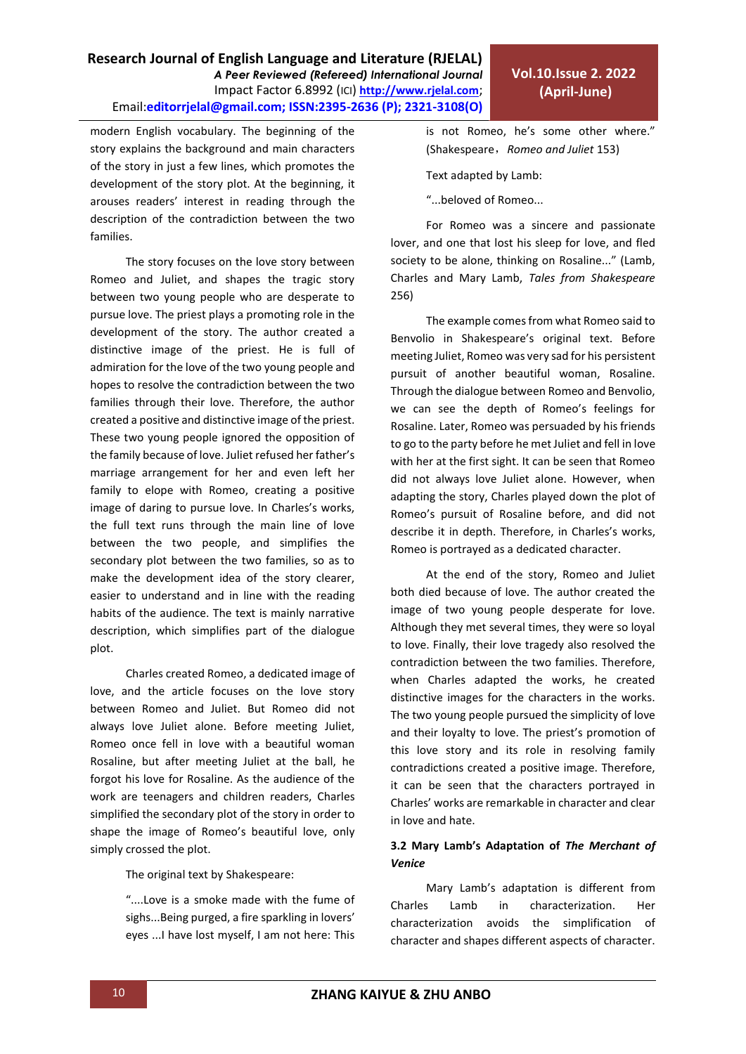modern English vocabulary. The beginning of the story explains the background and main characters of the story in just a few lines, which promotes the development of the story plot. At the beginning, it arouses readers' interest in reading through the description of the contradiction between the two families.

The story focuses on the love story between Romeo and Juliet, and shapes the tragic story between two young people who are desperate to pursue love. The priest plays a promoting role in the development of the story. The author created a distinctive image of the priest. He is full of admiration for the love of the two young people and hopes to resolve the contradiction between the two families through their love. Therefore, the author created a positive and distinctive image of the priest. These two young people ignored the opposition of the family because of love. Juliet refused her father's marriage arrangement for her and even left her family to elope with Romeo, creating a positive image of daring to pursue love. In Charles's works, the full text runs through the main line of love between the two people, and simplifies the secondary plot between the two families, so as to make the development idea of the story clearer, easier to understand and in line with the reading habits of the audience. The text is mainly narrative description, which simplifies part of the dialogue plot.

Charles created Romeo, a dedicated image of love, and the article focuses on the love story between Romeo and Juliet. But Romeo did not always love Juliet alone. Before meeting Juliet, Romeo once fell in love with a beautiful woman Rosaline, but after meeting Juliet at the ball, he forgot his love for Rosaline. As the audience of the work are teenagers and children readers, Charles simplified the secondary plot of the story in order to shape the image of Romeo's beautiful love, only simply crossed the plot.

The original text by Shakespeare:

"....Love is a smoke made with the fume of sighs...Being purged, a fire sparkling in lovers' eyes ...I have lost myself, I am not here: This is not Romeo, he's some other where." (Shakespeare,*Romeo and Juliet* 153)

Text adapted by Lamb:

"...beloved of Romeo...

For Romeo was a sincere and passionate lover, and one that lost his sleep for love, and fled society to be alone, thinking on Rosaline..." (Lamb, Charles and Mary Lamb, *Tales from Shakespeare* 256)

The example comes from what Romeo said to Benvolio in Shakespeare's original text. Before meeting Juliet, Romeo was very sad for his persistent pursuit of another beautiful woman, Rosaline. Through the dialogue between Romeo and Benvolio, we can see the depth of Romeo's feelings for Rosaline. Later, Romeo was persuaded by his friends to go to the party before he met Juliet and fell in love with her at the first sight. It can be seen that Romeo did not always love Juliet alone. However, when adapting the story, Charles played down the plot of Romeo's pursuit of Rosaline before, and did not describe it in depth. Therefore, in Charles's works, Romeo is portrayed as a dedicated character.

At the end of the story, Romeo and Juliet both died because of love. The author created the image of two young people desperate for love. Although they met several times, they were so loyal to love. Finally, their love tragedy also resolved the contradiction between the two families. Therefore, when Charles adapted the works, he created distinctive images for the characters in the works. The two young people pursued the simplicity of love and their loyalty to love. The priest's promotion of this love story and its role in resolving family contradictions created a positive image. Therefore, it can be seen that the characters portrayed in Charles' works are remarkable in character and clear in love and hate.

## **3.2 Mary Lamb's Adaptation of** *The Merchant of Venice*

Mary Lamb's adaptation is different from Charles Lamb in characterization. Her characterization avoids the simplification of character and shapes different aspects of character.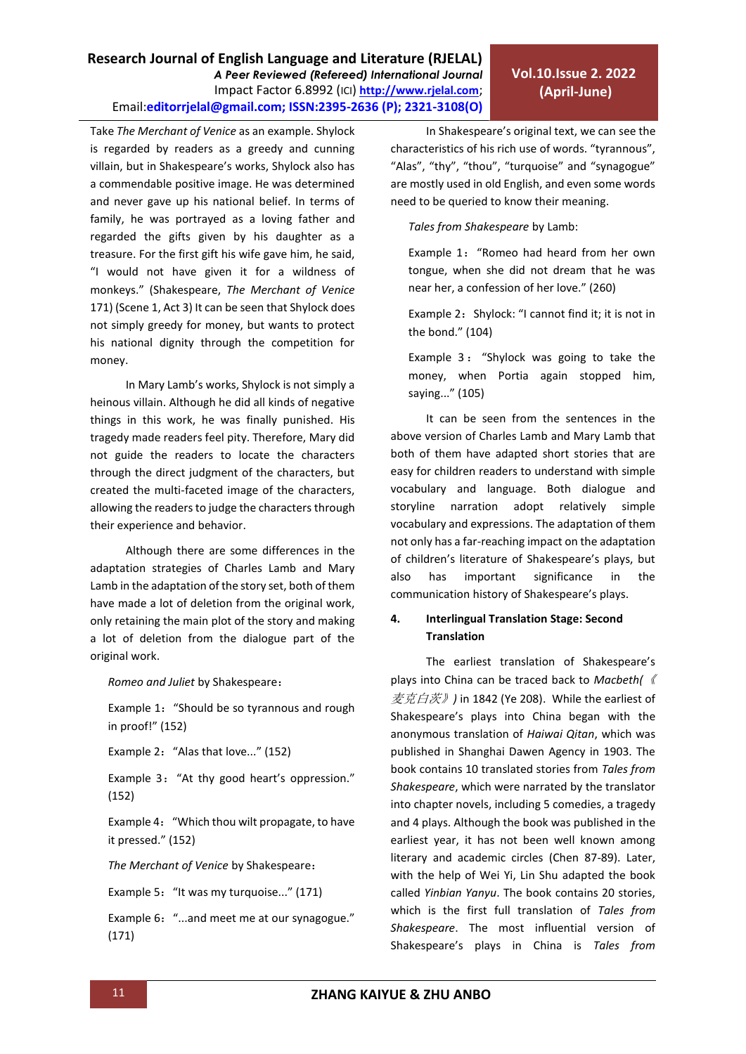Take *The Merchant of Venice* as an example. Shylock is regarded by readers as a greedy and cunning villain, but in Shakespeare's works, Shylock also has a commendable positive image. He was determined and never gave up his national belief. In terms of family, he was portrayed as a loving father and regarded the gifts given by his daughter as a treasure. For the first gift his wife gave him, he said, "I would not have given it for a wildness of monkeys." (Shakespeare, *The Merchant of Venice* 171) (Scene 1, Act 3) It can be seen that Shylock does not simply greedy for money, but wants to protect his national dignity through the competition for

In Mary Lamb's works, Shylock is not simply a heinous villain. Although he did all kinds of negative things in this work, he was finally punished. His tragedy made readers feel pity. Therefore, Mary did not guide the readers to locate the characters through the direct judgment of the characters, but created the multi-faceted image of the characters, allowing the readers to judge the characters through their experience and behavior.

money.

Although there are some differences in the adaptation strategies of Charles Lamb and Mary Lamb in the adaptation of the story set, both of them have made a lot of deletion from the original work, only retaining the main plot of the story and making a lot of deletion from the dialogue part of the original work.

*Romeo and Juliet* by Shakespeare:

Example 1: "Should be so tyrannous and rough in proof!" (152)

Example 2: "Alas that love..." (152)

Example 3: "At thy good heart's oppression." (152)

Example 4: "Which thou wilt propagate, to have it pressed." (152)

*The Merchant of Venice* by Shakespeare:

Example 5: "It was my turquoise..." (171)

Example 6: "...and meet me at our synagogue." (171)

In Shakespeare's original text, we can see the characteristics of his rich use of words. "tyrannous", "Alas", "thy", "thou", "turquoise" and "synagogue" are mostly used in old English, and even some words need to be queried to know their meaning.

**Vol.10.Issue 2. 2022 (April-June)**

*Tales from Shakespeare* by Lamb:

Example 1: "Romeo had heard from her own tongue, when she did not dream that he was near her, a confession of her love." (260)

Example 2: Shylock: "I cannot find it; it is not in the bond." (104)

Example 3: "Shylock was going to take the money, when Portia again stopped him, saying..." (105)

It can be seen from the sentences in the above version of Charles Lamb and Mary Lamb that both of them have adapted short stories that are easy for children readers to understand with simple vocabulary and language. Both dialogue and storyline narration adopt relatively simple vocabulary and expressions. The adaptation of them not only has a far-reaching impact on the adaptation of children's literature of Shakespeare's plays, but also has important significance in the communication history of Shakespeare's plays.

### **4. Interlingual Translation Stage: Second Translation**

The earliest translation of Shakespeare's plays into China can be traced back to *Macbeth(*《 麦克白茨》*)* in 1842 (Ye 208). While the earliest of Shakespeare's plays into China began with the anonymous translation of *Haiwai Qitan*, which was published in Shanghai Dawen Agency in 1903. The book contains 10 translated stories from *Tales from Shakespeare*, which were narrated by the translator into chapter novels, including 5 comedies, a tragedy and 4 plays. Although the book was published in the earliest year, it has not been well known among literary and academic circles (Chen 87-89). Later, with the help of Wei Yi, Lin Shu adapted the book called *Yinbian Yanyu*. The book contains 20 stories, which is the first full translation of *Tales from Shakespeare*. The most influential version of Shakespeare's plays in China is *Tales from*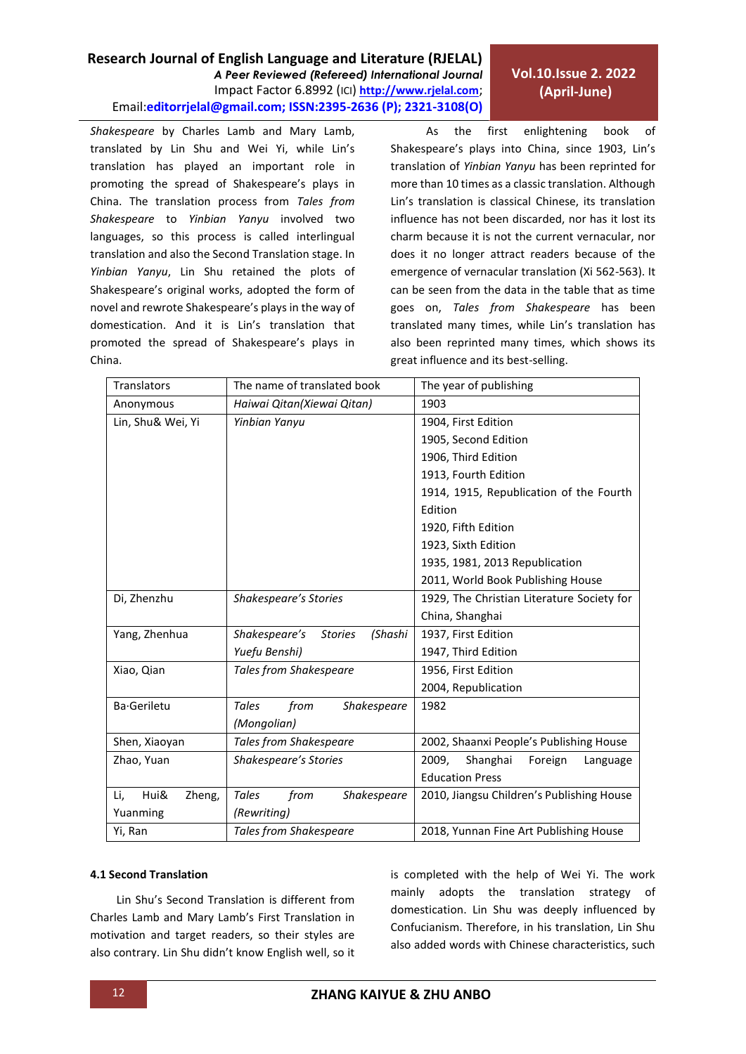*Shakespeare* by Charles Lamb and Mary Lamb, translated by Lin Shu and Wei Yi, while Lin's translation has played an important role in promoting the spread of Shakespeare's plays in China. The translation process from *Tales from Shakespeare* to *Yinbian Yanyu* involved two languages, so this process is called interlingual translation and also the Second Translation stage. In *Yinbian Yanyu*, Lin Shu retained the plots of Shakespeare's original works, adopted the form of novel and rewrote Shakespeare's plays in the way of domestication. And it is Lin's translation that promoted the spread of Shakespeare's plays in China.

As the first enlightening book of Shakespeare's plays into China, since 1903, Lin's translation of *Yinbian Yanyu* has been reprinted for more than 10 times as a classic translation. Although Lin's translation is classical Chinese, its translation influence has not been discarded, nor has it lost its charm because it is not the current vernacular, nor does it no longer attract readers because of the emergence of vernacular translation (Xi 562-563). It can be seen from the data in the table that as time goes on, *Tales from Shakespeare* has been translated many times, while Lin's translation has also been reprinted many times, which shows its great influence and its best-selling.

| <b>Translators</b>    | The name of translated book                | The year of publishing                     |
|-----------------------|--------------------------------------------|--------------------------------------------|
| Anonymous             | Haiwai Qitan(Xiewai Qitan)                 | 1903                                       |
| Lin, Shu& Wei, Yi     | Yinbian Yanyu                              | 1904, First Edition                        |
|                       |                                            | 1905, Second Edition                       |
|                       |                                            | 1906, Third Edition                        |
|                       |                                            | 1913, Fourth Edition                       |
|                       |                                            | 1914, 1915, Republication of the Fourth    |
|                       |                                            | Edition                                    |
|                       |                                            | 1920, Fifth Edition                        |
|                       |                                            | 1923, Sixth Edition                        |
|                       |                                            | 1935, 1981, 2013 Republication             |
|                       |                                            | 2011, World Book Publishing House          |
| Di, Zhenzhu           | Shakespeare's Stories                      | 1929, The Christian Literature Society for |
|                       |                                            | China, Shanghai                            |
| Yang, Zhenhua         | Shakespeare's<br>(Shashi<br><b>Stories</b> | 1937, First Edition                        |
|                       | Yuefu Benshi)                              | 1947, Third Edition                        |
| Xiao, Qian            | <b>Tales from Shakespeare</b>              | 1956, First Edition                        |
|                       |                                            | 2004, Republication                        |
| Ba-Geriletu           | from<br>Shakespeare<br>Tales               | 1982                                       |
|                       | (Mongolian)                                |                                            |
| Shen, Xiaoyan         | <b>Tales from Shakespeare</b>              | 2002, Shaanxi People's Publishing House    |
| Zhao, Yuan            | Shakespeare's Stories                      | Shanghai<br>2009.<br>Foreign<br>Language   |
|                       |                                            | <b>Education Press</b>                     |
| Hui&<br>Li,<br>Zheng, | Tales<br>from<br><b>Shakespeare</b>        | 2010, Jiangsu Children's Publishing House  |
| Yuanming              | (Rewriting)                                |                                            |
| Yi, Ran               | <b>Tales from Shakespeare</b>              | 2018, Yunnan Fine Art Publishing House     |

#### **4.1 Second Translation**

Lin Shu's Second Translation is different from Charles Lamb and Mary Lamb's First Translation in motivation and target readers, so their styles are also contrary. Lin Shu didn't know English well, so it is completed with the help of Wei Yi. The work mainly adopts the translation strategy of domestication. Lin Shu was deeply influenced by Confucianism. Therefore, in his translation, Lin Shu also added words with Chinese characteristics, such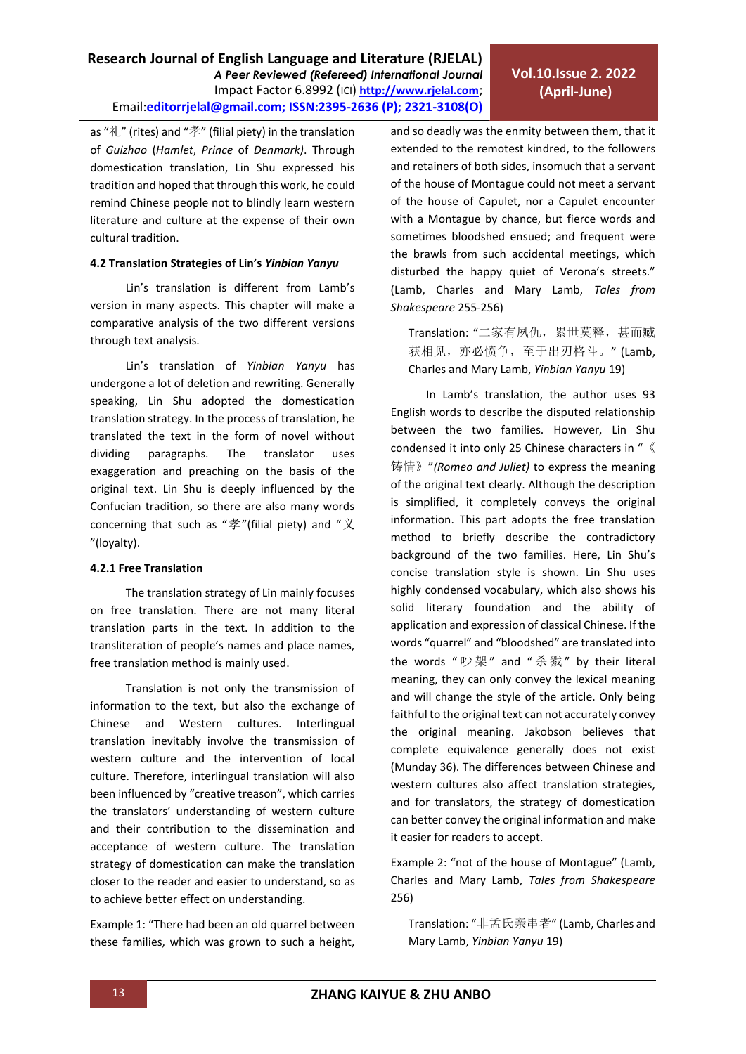as "礼" (rites) and "孝" (filial piety) in the translation of *Guizhao* (*Hamlet*, *Prince* of *Denmark)*. Through domestication translation, Lin Shu expressed his tradition and hoped that through this work, he could remind Chinese people not to blindly learn western literature and culture at the expense of their own cultural tradition.

## **4.2 Translation Strategies of Lin's** *Yinbian Yanyu*

Lin's translation is different from Lamb's version in many aspects. This chapter will make a comparative analysis of the two different versions through text analysis.

Lin's translation of *Yinbian Yanyu* has undergone a lot of deletion and rewriting. Generally speaking, Lin Shu adopted the domestication translation strategy. In the process of translation, he translated the text in the form of novel without dividing paragraphs. The translator uses exaggeration and preaching on the basis of the original text. Lin Shu is deeply influenced by the Confucian tradition, so there are also many words concerning that such as " $\cancel{\tilde{\Xi}}$ "(filial piety) and " $\cancel{\chi}$ "(loyalty).

## **4.2.1 Free Translation**

The translation strategy of Lin mainly focuses on free translation. There are not many literal translation parts in the text. In addition to the transliteration of people's names and place names, free translation method is mainly used.

Translation is not only the transmission of information to the text, but also the exchange of Chinese and Western cultures. Interlingual translation inevitably involve the transmission of western culture and the intervention of local culture. Therefore, interlingual translation will also been influenced by "creative treason", which carries the translators' understanding of western culture and their contribution to the dissemination and acceptance of western culture. The translation strategy of domestication can make the translation closer to the reader and easier to understand, so as to achieve better effect on understanding.

Example 1: "There had been an old quarrel between these families, which was grown to such a height, and so deadly was the enmity between them, that it extended to the remotest kindred, to the followers and retainers of both sides, insomuch that a servant of the house of Montague could not meet a servant of the house of Capulet, nor a Capulet encounter with a Montague by chance, but fierce words and sometimes bloodshed ensued; and frequent were the brawls from such accidental meetings, which disturbed the happy quiet of Verona's streets." (Lamb, Charles and Mary Lamb, *Tales from Shakespeare* 255-256)

Translation: "二家有夙仇,累世莫释,甚而臧 获相见, 亦必愤争, 至于出刃格斗。" (Lamb, Charles and Mary Lamb, *Yinbian Yanyu* 19)

In Lamb's translation, the author uses 93 English words to describe the disputed relationship between the two families. However, Lin Shu condensed it into only 25 Chinese characters in "《 铸情》"*(Romeo and Juliet)* to express the meaning of the original text clearly. Although the description is simplified, it completely conveys the original information. This part adopts the free translation method to briefly describe the contradictory background of the two families. Here, Lin Shu's concise translation style is shown. Lin Shu uses highly condensed vocabulary, which also shows his solid literary foundation and the ability of application and expression of classical Chinese. If the words "quarrel" and "bloodshed" are translated into the words " 吵 架 " and " 杀 戮 " by their literal meaning, they can only convey the lexical meaning and will change the style of the article. Only being faithful to the original text can not accurately convey the original meaning. Jakobson believes that complete equivalence generally does not exist (Munday 36). The differences between Chinese and western cultures also affect translation strategies, and for translators, the strategy of domestication can better convey the original information and make it easier for readers to accept.

Example 2: "not of the house of Montague" (Lamb, Charles and Mary Lamb, *Tales from Shakespeare* 256)

Translation: "非孟氏亲串者" (Lamb, Charles and Mary Lamb, *Yinbian Yanyu* 19)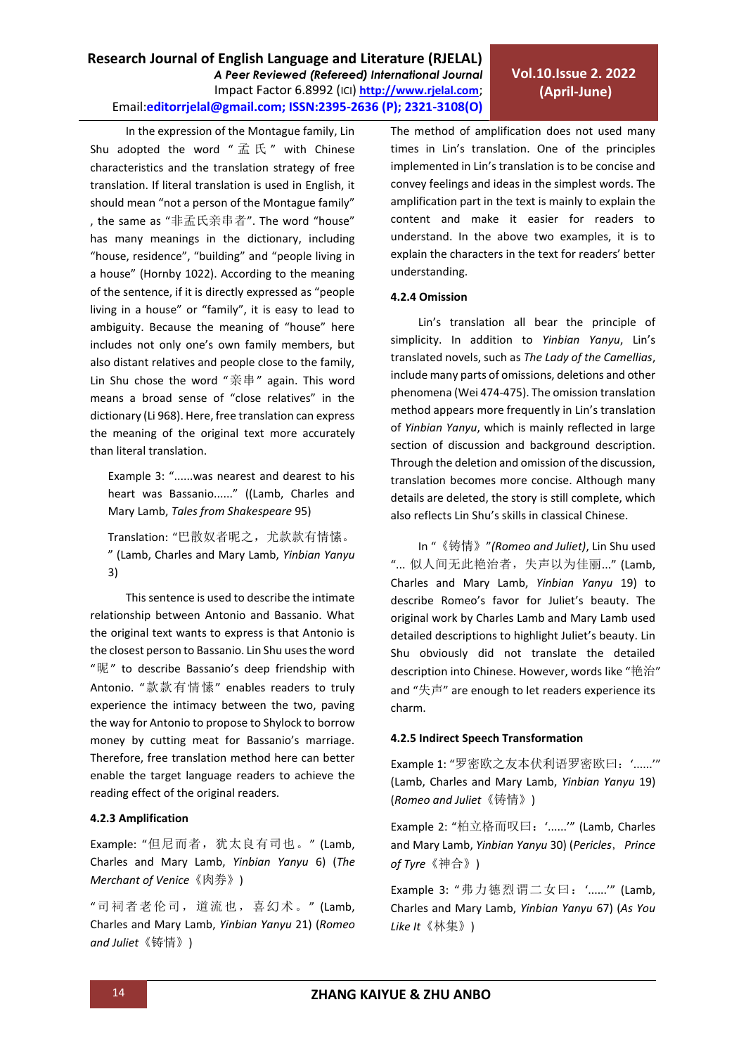In the expression of the Montague family, Lin Shu adopted the word " $\vec{\mathbb{m}}$   $\mathbb{K}$  " with Chinese characteristics and the translation strategy of free translation. If literal translation is used in English, it should mean "not a person of the Montague family" , the same as "非孟氏亲串者". The word "house" has many meanings in the dictionary, including "house, residence", "building" and "people living in a house" (Hornby 1022). According to the meaning of the sentence, if it is directly expressed as "people living in a house" or "family", it is easy to lead to ambiguity. Because the meaning of "house" here includes not only one's own family members, but also distant relatives and people close to the family, Lin Shu chose the word "亲串" again. This word means a broad sense of "close relatives" in the dictionary (Li 968). Here, free translation can express the meaning of the original text more accurately than literal translation.

Example 3: "......was nearest and dearest to his heart was Bassanio......" ((Lamb, Charles and Mary Lamb, *Tales from Shakespeare* 95)

Translation: "巴散奴者昵之,尤款款有情愫。 " (Lamb, Charles and Mary Lamb, *Yinbian Yanyu* 3)

This sentence is used to describe the intimate relationship between Antonio and Bassanio. What the original text wants to express is that Antonio is the closest person to Bassanio. Lin Shu uses the word "昵" to describe Bassanio's deep friendship with Antonio. "款款有情愫" enables readers to truly experience the intimacy between the two, paving the way for Antonio to propose to Shylock to borrow money by cutting meat for Bassanio's marriage. Therefore, free translation method here can better enable the target language readers to achieve the reading effect of the original readers.

## **4.2.3 Amplification**

Example: "但尼而者,犹太良有司也。" (Lamb, Charles and Mary Lamb, *Yinbian Yanyu* 6) (*The Merchant of Venice*《肉券》)

"司祠者老伦司,道流也,喜幻术。" (Lamb, Charles and Mary Lamb, *Yinbian Yanyu* 21) (*Romeo and Juliet*《铸情》)

The method of amplification does not used many times in Lin's translation. One of the principles implemented in Lin's translation is to be concise and convey feelings and ideas in the simplest words. The amplification part in the text is mainly to explain the content and make it easier for readers to understand. In the above two examples, it is to explain the characters in the text for readers' better understanding.

## **4.2.4 Omission**

Lin's translation all bear the principle of simplicity. In addition to *Yinbian Yanyu*, Lin's translated novels, such as *The Lady of the Camellias*, include many parts of omissions, deletions and other phenomena (Wei 474-475). The omission translation method appears more frequently in Lin's translation of *Yinbian Yanyu*, which is mainly reflected in large section of discussion and background description. Through the deletion and omission of the discussion, translation becomes more concise. Although many details are deleted, the story is still complete, which also reflects Lin Shu's skills in classical Chinese.

In "《铸情》"*(Romeo and Juliet)*, Lin Shu used "... 似人间无此艳治者,失声以为佳丽..." (Lamb, Charles and Mary Lamb, *Yinbian Yanyu* 19) to describe Romeo's favor for Juliet's beauty. The original work by Charles Lamb and Mary Lamb used detailed descriptions to highlight Juliet's beauty. Lin Shu obviously did not translate the detailed description into Chinese. However, words like "艳治" and "失声" are enough to let readers experience its charm.

## **4.2.5 Indirect Speech Transformation**

Example 1: "罗密欧之友本伏利语罗密欧曰: '......'" (Lamb, Charles and Mary Lamb, *Yinbian Yanyu* 19) (*Romeo and Juliet*《铸情》)

Example 2: "柏立格而叹曰: '......'" (Lamb, Charles and Mary Lamb, *Yinbian Yanyu* 30) (*Pericles*,*Prince of Tyre*《神合》)

Example 3: "弗力德烈谓二女曰: '......'" (Lamb, Charles and Mary Lamb, *Yinbian Yanyu* 67) (*As You Like It*《林集》)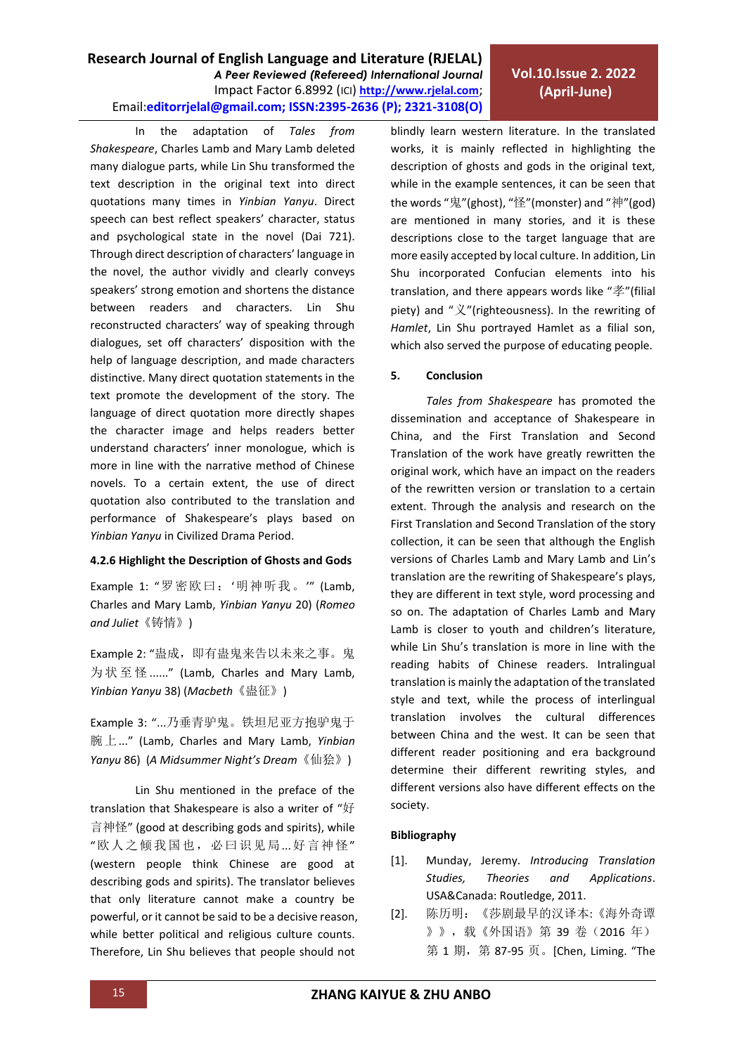**Vol.10.Issue 2. 2022 (April-June)**

In the adaptation of *Tales from Shakespeare*, Charles Lamb and Mary Lamb deleted many dialogue parts, while Lin Shu transformed the text description in the original text into direct quotations many times in *Yinbian Yanyu*. Direct speech can best reflect speakers' character, status and psychological state in the novel (Dai 721). Through direct description of characters' language in the novel, the author vividly and clearly conveys speakers' strong emotion and shortens the distance between readers and characters. Lin Shu reconstructed characters' way of speaking through dialogues, set off characters' [disposition](file:///C:/Program%20Files/baidu-translate-client/resources/app.asar/app.html%23/%23) with the help of language description, and made characters distinctive. Many direct quotation statements in the text promote the development of the story. The language of direct quotation more directly shapes the character image and helps readers better understand characters' inner monologue, which is more in line with the narrative method of Chinese novels. To a certain extent, the use of direct quotation also contributed to the translation and performance of Shakespeare's plays based on *Yinbian Yanyu* in Civilized Drama Period.

#### **4.2.6 Highlight the Description of Ghosts and Gods**

Example 1: "罗密欧曰: '明神听我。'" (Lamb, Charles and Mary Lamb, *Yinbian Yanyu* 20) (*Romeo and Juliet*《铸情》)

Example 2: "蛊成, 即有蛊鬼来告以未来之事。鬼 为 状 至 怪 ......" (Lamb, Charles and Mary Lamb, *Yinbian Yanyu* 38) (*Macbeth*《蛊征》)

Example 3: "...乃垂青驴鬼。铁坦尼亚方抱驴鬼于 腕上..." (Lamb, Charles and Mary Lamb, *Yinbian Yanyu* 86) (*A Midsummer Night's Dream*《仙狯》)

Lin Shu mentioned in the preface of the translation that Shakespeare is also a writer of "好 言神怪" (good at describing gods and spirits), while "欧人之倾我国也,必曰识见局...好言神怪" (western people think Chinese are good at describing gods and spirits). The translator believes that only literature cannot make a country be powerful, or it cannot be said to be a decisive reason, while better political and religious culture counts. Therefore, Lin Shu believes that people should not

blindly learn western literature. In the translated works, it is mainly reflected in highlighting the description of ghosts and gods in the original text, while in the example sentences, it can be seen that the words "鬼"(ghost), "怪"(monster) and "神"(god) are mentioned in many stories, and it is these descriptions close to the target language that are more easily accepted by local culture. In addition, Lin Shu incorporated Confucian elements into his translation, and there appears words like "孝"(filial piety) and "义"(righteousness). In the rewriting of *Hamlet*, Lin Shu portrayed Hamlet as a filial son, which also served the purpose of educating people.

### **5. Conclusion**

*Tales from Shakespeare* has promoted the dissemination and acceptance of Shakespeare in China, and the First Translation and Second Translation of the work have greatly rewritten the original work, which have an impact on the readers of the rewritten version or translation to a certain extent. Through the analysis and research on the First Translation and Second Translation of the story collection, it can be seen that although the English versions of Charles Lamb and Mary Lamb and Lin's translation are the rewriting of Shakespeare's plays, they are different in text style, word processing and so on. The adaptation of Charles Lamb and Mary Lamb is closer to youth and children's literature, while Lin Shu's translation is more in line with the reading habits of Chinese readers. Intralingual translation is mainly the adaptation of the translated style and text, while the process of interlingual translation involves the cultural differences between China and the west. It can be seen that different reader positioning and era background determine their different rewriting styles, and different versions also have different effects on the society.

### **Bibliography**

- [1]. Munday, Jeremy. *Introducing Translation Studies, Theories and Applications*. USA&Canada: Routledge, 2011.
- [2]. 陈历明:《莎剧最早的汉译本:《海外奇谭 》》,载《外国语》第 39 卷(2016 年) 第 1 期, 第 87-95 页。[Chen, Liming. "The